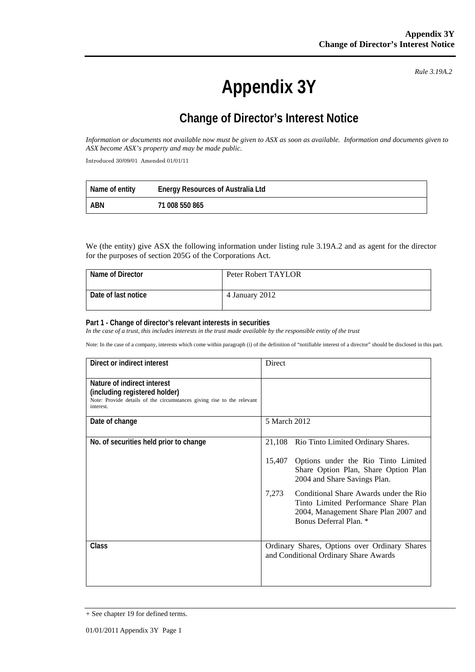*Rule 3.19A.2*

# **Appendix 3Y**

## **Change of Director's Interest Notice**

*Information or documents not available now must be given to ASX as soon as available. Information and documents given to ASX become ASX's property and may be made public.* 

Introduced 30/09/01 Amended 01/01/11

| Name of entity | <b>Energy Resources of Australia Ltd</b> |
|----------------|------------------------------------------|
| ABN            | 71 008 550 865                           |

We (the entity) give ASX the following information under listing rule 3.19A.2 and as agent for the director for the purposes of section 205G of the Corporations Act.

| Name of Director    | Peter Robert TAYLOR |
|---------------------|---------------------|
| Date of last notice | 4 January 2012      |

#### **Part 1 - Change of director's relevant interests in securities**

In the case of a trust, this includes interests in the trust made available by the responsible entity of the trust

Note: In the case of a company, interests which come within paragraph (i) of the definition of "notifiable interest of a director" should be disclosed in this part.

| Direct or indirect interest                                                                                                                         | Direct                                                                                                                                                    |  |
|-----------------------------------------------------------------------------------------------------------------------------------------------------|-----------------------------------------------------------------------------------------------------------------------------------------------------------|--|
| Nature of indirect interest<br>(including registered holder)<br>Note: Provide details of the circumstances giving rise to the relevant<br>interest. |                                                                                                                                                           |  |
| Date of change                                                                                                                                      | 5 March 2012                                                                                                                                              |  |
| No. of securities held prior to change                                                                                                              | 21,108<br>Rio Tinto Limited Ordinary Shares.                                                                                                              |  |
|                                                                                                                                                     | Options under the Rio Tinto Limited<br>15,407<br>Share Option Plan, Share Option Plan<br>2004 and Share Savings Plan.                                     |  |
|                                                                                                                                                     | Conditional Share Awards under the Rio<br>7,273<br>Tinto Limited Performance Share Plan<br>2004, Management Share Plan 2007 and<br>Bonus Deferral Plan. * |  |
| <b>Class</b>                                                                                                                                        | Ordinary Shares, Options over Ordinary Shares<br>and Conditional Ordinary Share Awards                                                                    |  |

<sup>+</sup> See chapter 19 for defined terms.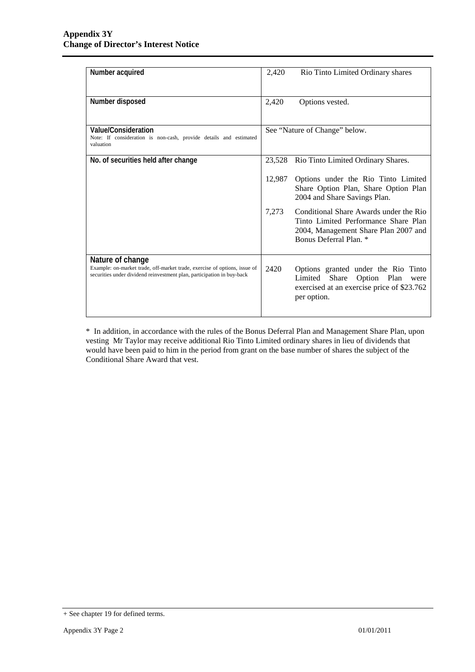| Number acquired                                                                                                                                     | 2,420  | Rio Tinto Limited Ordinary shares                                                                                                                |
|-----------------------------------------------------------------------------------------------------------------------------------------------------|--------|--------------------------------------------------------------------------------------------------------------------------------------------------|
| Number disposed                                                                                                                                     | 2,420  | Options vested.                                                                                                                                  |
| Value/Consideration<br>Note: If consideration is non-cash, provide details and estimated<br>valuation                                               |        | See "Nature of Change" below.                                                                                                                    |
| No. of securities held after change                                                                                                                 | 23,528 | Rio Tinto Limited Ordinary Shares.                                                                                                               |
|                                                                                                                                                     |        | Options under the Rio Tinto Limited<br>Share Option Plan, Share Option Plan<br>2004 and Share Savings Plan.                                      |
|                                                                                                                                                     | 7,273  | Conditional Share Awards under the Rio<br>Tinto Limited Performance Share Plan<br>2004, Management Share Plan 2007 and<br>Bonus Deferral Plan. * |
| Nature of change                                                                                                                                    |        |                                                                                                                                                  |
| Example: on-market trade, off-market trade, exercise of options, issue of<br>securities under dividend reinvestment plan, participation in buy-back | 2420   | Options granted under the Rio Tinto<br>Limited Share Option Plan<br>were<br>exercised at an exercise price of \$23.762<br>per option.            |

\* In addition, in accordance with the rules of the Bonus Deferral Plan and Management Share Plan, upon vesting Mr Taylor may receive additional Rio Tinto Limited ordinary shares in lieu of dividends that would have been paid to him in the period from grant on the base number of shares the subject of the Conditional Share Award that vest.

<sup>+</sup> See chapter 19 for defined terms.